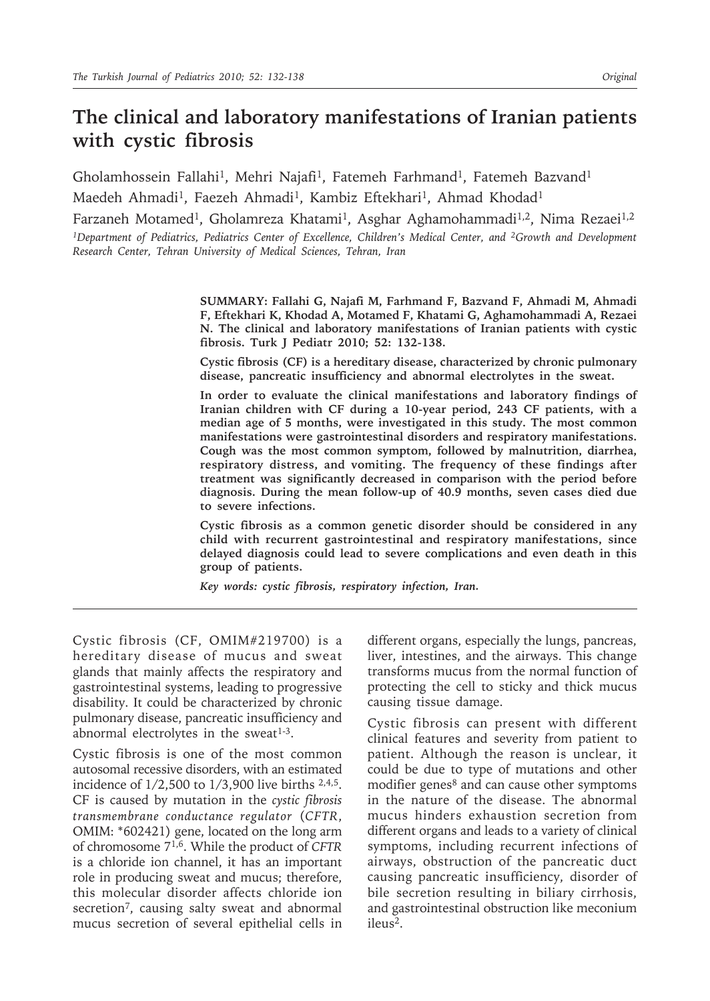# **The clinical and laboratory manifestations of Iranian patients with cystic fibrosis**

Gholamhossein Fallahi<sup>1</sup>, Mehri Najafi<sup>1</sup>, Fatemeh Farhmand<sup>1</sup>, Fatemeh Bazvand<sup>1</sup> Maedeh Ahmadi<sup>1</sup>, Faezeh Ahmadi<sup>1</sup>, Kambiz Eftekhari<sup>1</sup>, Ahmad Khodad<sup>1</sup>

Farzaneh Motamed<sup>1</sup>, Gholamreza Khatami<sup>1</sup>, Asghar Aghamohammadi<sup>1,2</sup>, Nima Rezaei<sup>1,2</sup> *1Department of Pediatrics, Pediatrics Center of Excellence, Children's Medical Center, and 2Growth and Development Research Center, Tehran University of Medical Sciences, Tehran, Iran*

> **SUMMARY: Fallahi G, Najafi M, Farhmand F, Bazvand F, Ahmadi M, Ahmadi F, Eftekhari K, Khodad A, Motamed F, Khatami G, Aghamohammadi A, Rezaei N. The clinical and laboratory manifestations of Iranian patients with cystic fibrosis. Turk J Pediatr 2010; 52: 132-138.**

> **Cystic fibrosis (CF) is a hereditary disease, characterized by chronic pulmonary disease, pancreatic insufficiency and abnormal electrolytes in the sweat.**

> **In order to evaluate the clinical manifestations and laboratory findings of Iranian children with CF during a 10-year period, 243 CF patients, with a median age of 5 months, were investigated in this study. The most common manifestations were gastrointestinal disorders and respiratory manifestations. Cough was the most common symptom, followed by malnutrition, diarrhea, respiratory distress, and vomiting. The frequency of these findings after treatment was significantly decreased in comparison with the period before diagnosis. During the mean follow-up of 40.9 months, seven cases died due to severe infections.**

> **Cystic fibrosis as a common genetic disorder should be considered in any child with recurrent gastrointestinal and respiratory manifestations, since delayed diagnosis could lead to severe complications and even death in this group of patients.**

*Key words: cystic fibrosis, respiratory infection, Iran.*

Cystic fibrosis (CF, OMIM#219700) is a hereditary disease of mucus and sweat glands that mainly affects the respiratory and gastrointestinal systems, leading to progressive disability. It could be characterized by chronic pulmonary disease, pancreatic insufficiency and abnormal electrolytes in the sweat $1-3$ .

Cystic fibrosis is one of the most common autosomal recessive disorders, with an estimated incidence of 1/2,500 to 1/3,900 live births 2,4,5. CF is caused by mutation in the *cystic fibrosis transmembrane conductance regulator* (*CFTR*, OMIM: \*602421) gene, located on the long arm of chromosome 71,6. While the product of *CFTR* is a chloride ion channel, it has an important role in producing sweat and mucus; therefore, this molecular disorder affects chloride ion secretion<sup>7</sup>, causing salty sweat and abnormal mucus secretion of several epithelial cells in

different organs, especially the lungs, pancreas, liver, intestines, and the airways. This change transforms mucus from the normal function of protecting the cell to sticky and thick mucus causing tissue damage.

Cystic fibrosis can present with different clinical features and severity from patient to patient. Although the reason is unclear, it could be due to type of mutations and other modifier genes<sup>8</sup> and can cause other symptoms in the nature of the disease. The abnormal mucus hinders exhaustion secretion from different organs and leads to a variety of clinical symptoms, including recurrent infections of airways, obstruction of the pancreatic duct causing pancreatic insufficiency, disorder of bile secretion resulting in biliary cirrhosis, and gastrointestinal obstruction like meconium ileus2.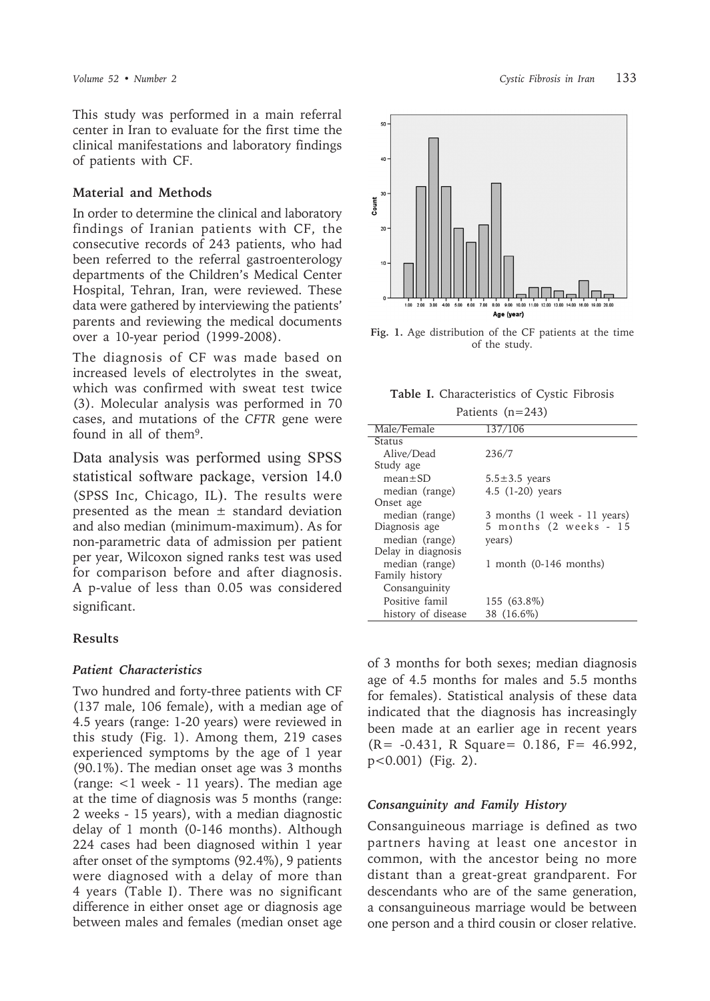This study was performed in a main referral center in Iran to evaluate for the first time the clinical manifestations and laboratory findings of patients with CF.

#### **Material and Methods**

In order to determine the clinical and laboratory findings of Iranian patients with CF, the consecutive records of 243 patients, who had been referred to the referral gastroenterology departments of the Children's Medical Center Hospital, Tehran, Iran, were reviewed. These data were gathered by interviewing the patients' parents and reviewing the medical documents over a 10-year period (1999-2008).

The diagnosis of CF was made based on increased levels of electrolytes in the sweat, which was confirmed with sweat test twice (3). Molecular analysis was performed in 70 cases, and mutations of the *CFTR* gene were found in all of them9.

Data analysis was performed using SPSS statistical software package, version 14.0 (SPSS Inc, Chicago, IL). The results were presented as the mean  $\pm$  standard deviation and also median (minimum-maximum). As for non-parametric data of admission per patient per year, Wilcoxon signed ranks test was used for comparison before and after diagnosis. A p-value of less than 0.05 was considered significant.

#### **Results**

#### *Patient Characteristics*

Two hundred and forty-three patients with CF (137 male, 106 female), with a median age of 4.5 years (range: 1-20 years) were reviewed in this study (Fig. 1). Among them, 219 cases experienced symptoms by the age of 1 year (90.1%). The median onset age was 3 months (range: <1 week - 11 years). The median age at the time of diagnosis was 5 months (range: 2 weeks - 15 years), with a median diagnostic delay of 1 month (0-146 months). Although 224 cases had been diagnosed within 1 year after onset of the symptoms (92.4%), 9 patients were diagnosed with a delay of more than 4 years (Table I). There was no significant difference in either onset age or diagnosis age between males and females (median onset age



**Fig. 1.** Age distribution of the CF patients at the time of the study.

**Table I.** Characteristics of Cystic Fibrosis  $P_{\text{eff}}$  (n=243)

| Patients $(11=243)$ |                              |  |  |  |  |
|---------------------|------------------------------|--|--|--|--|
| Male/Female         | 137/106                      |  |  |  |  |
| Status              |                              |  |  |  |  |
| Alive/Dead          | 236/7                        |  |  |  |  |
| Study age           |                              |  |  |  |  |
| $mean \pm SD$       | $5.5 \pm 3.5$ years          |  |  |  |  |
| median (range)      | 4.5 $(1-20)$ years           |  |  |  |  |
| Onset age           |                              |  |  |  |  |
| median (range)      | 3 months (1 week - 11 years) |  |  |  |  |
| Diagnosis age       | 5 months (2 weeks - 15       |  |  |  |  |
| median (range)      | years)                       |  |  |  |  |
| Delay in diagnosis  |                              |  |  |  |  |
| median (range)      | 1 month $(0-146$ months)     |  |  |  |  |
| Family history      |                              |  |  |  |  |
| Consanguinity       |                              |  |  |  |  |
| Positive famil      | 155 (63.8%)                  |  |  |  |  |
| history of disease  | 38 (16.6%)                   |  |  |  |  |

of 3 months for both sexes; median diagnosis age of 4.5 months for males and 5.5 months for females). Statistical analysis of these data indicated that the diagnosis has increasingly been made at an earlier age in recent years (R= -0.431, R Square= 0.186, F= 46.992, p<0.001) (Fig. 2).

#### *Consanguinity and Family History*

Consanguineous marriage is defined as two partners having at least one ancestor in common, with the ancestor being no more distant than a great-great grandparent. For descendants who are of the same generation, a consanguineous marriage would be between one person and a third cousin or closer relative.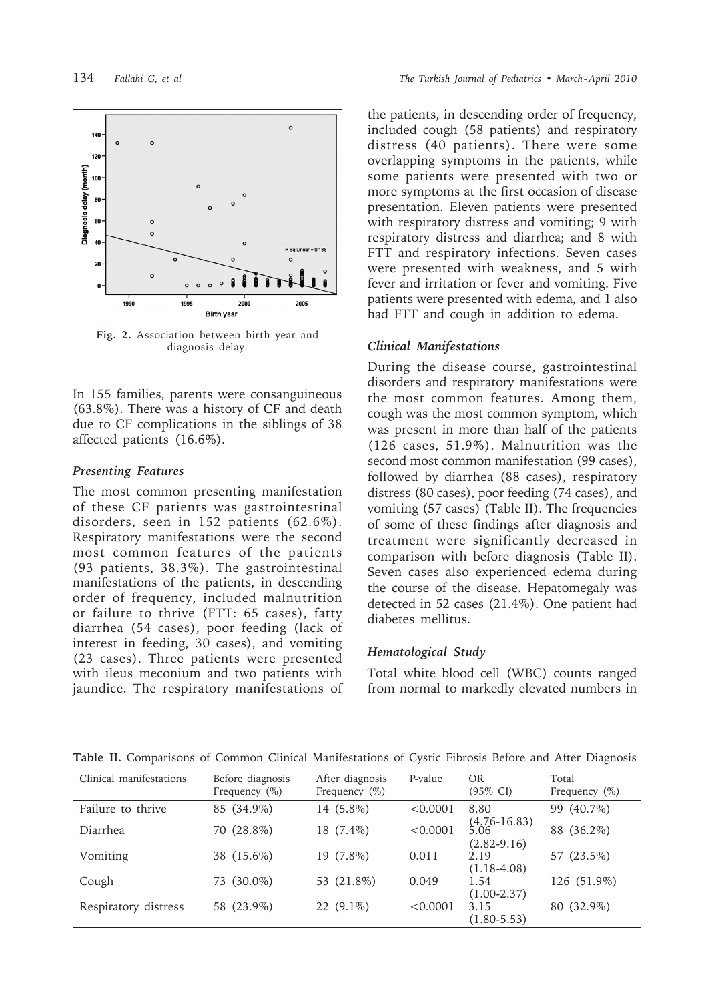

**Fig. 2.** Association between birth year and diagnosis delay.

In 155 families, parents were consanguineous (63.8%). There was a history of CF and death due to CF complications in the siblings of 38 affected patients (16.6%).

#### *Presenting Features*

The most common presenting manifestation of these CF patients was gastrointestinal disorders, seen in 152 patients (62.6%). Respiratory manifestations were the second most common features of the patients (93 patients, 38.3%). The gastrointestinal manifestations of the patients, in descending order of frequency, included malnutrition or failure to thrive (FTT: 65 cases), fatty diarrhea (54 cases), poor feeding (lack of interest in feeding, 30 cases), and vomiting (23 cases). Three patients were presented with ileus meconium and two patients with jaundice. The respiratory manifestations of

the patients, in descending order of frequency, included cough (58 patients) and respiratory distress (40 patients). There were some overlapping symptoms in the patients, while some patients were presented with two or more symptoms at the first occasion of disease presentation. Eleven patients were presented with respiratory distress and vomiting; 9 with respiratory distress and diarrhea; and 8 with FTT and respiratory infections. Seven cases were presented with weakness, and 5 with fever and irritation or fever and vomiting. Five patients were presented with edema, and 1 also had FTT and cough in addition to edema.

#### *Clinical Manifestations*

During the disease course, gastrointestinal disorders and respiratory manifestations were the most common features. Among them, cough was the most common symptom, which was present in more than half of the patients (126 cases, 51.9%). Malnutrition was the second most common manifestation (99 cases), followed by diarrhea (88 cases), respiratory distress (80 cases), poor feeding (74 cases), and vomiting (57 cases) (Table II). The frequencies of some of these findings after diagnosis and treatment were significantly decreased in comparison with before diagnosis (Table II). Seven cases also experienced edema during the course of the disease. Hepatomegaly was detected in 52 cases (21.4%). One patient had diabetes mellitus.

#### *Hematological Study*

Total white blood cell (WBC) counts ranged from normal to markedly elevated numbers in

| Clinical manifestations | Before diagnosis<br>Frequency $(\%)$ | After diagnosis<br>Frequency $(\%)$ | P-value  | <b>OR</b><br>$(95\% \text{ CI})$          | Total<br>Frequency $(\%)$ |
|-------------------------|--------------------------------------|-------------------------------------|----------|-------------------------------------------|---------------------------|
| Failure to thrive       | 85 (34.9%)                           | 14 (5.8%)                           | < 0.0001 | 8.80                                      | $(40.7\%)$<br>99          |
| <b>Diarrhea</b>         | 70 (28.8%)                           | 18 (7.4%)                           | < 0.0001 | $(4.76-16.83)$<br>5.06<br>$(2.82 - 9.16)$ | 88 (36.2%)                |
| Vomiting                | 38 (15.6%)                           | 19 (7.8%)                           | 0.011    | 2.19                                      | 57 (23.5%)                |
|                         |                                      |                                     |          | $(1.18 - 4.08)$                           |                           |
| Cough                   | 73 (30.0%)                           | 53 (21.8%)                          | 0.049    | 1.54                                      | 126 (51.9%)               |
|                         |                                      |                                     |          | $(1.00 - 2.37)$<br>3.15                   |                           |
| Respiratory distress    | 58 (23.9%)                           | $22(9.1\%)$                         | < 0.0001 | $(1.80 - 5.53)$                           | 80 (32.9%)                |

**Table II.** Comparisons of Common Clinical Manifestations of Cystic Fibrosis Before and After Diagnosis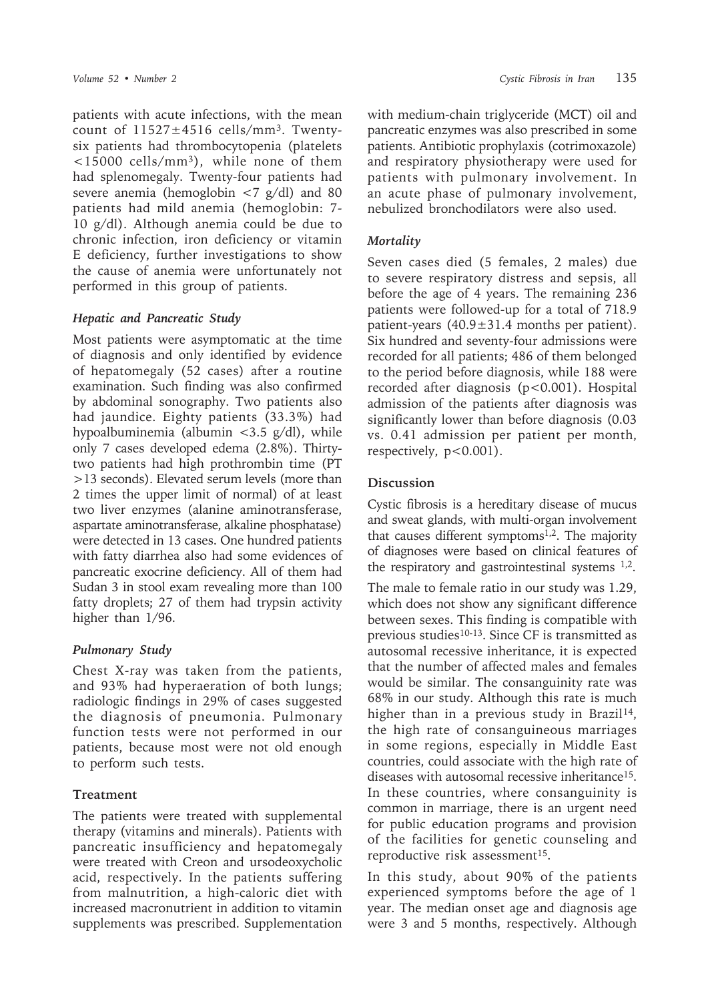patients with acute infections, with the mean count of  $11527 \pm 4516$  cells/mm<sup>3</sup>. Twentysix patients had thrombocytopenia (platelets <15000 cells/mm3), while none of them had splenomegaly. Twenty-four patients had severe anemia (hemoglobin  $\langle 7 \text{ g/d} \rangle$  and 80 patients had mild anemia (hemoglobin: 7- 10 g/dl). Although anemia could be due to chronic infection, iron deficiency or vitamin E deficiency, further investigations to show the cause of anemia were unfortunately not performed in this group of patients.

### *Hepatic and Pancreatic Study*

Most patients were asymptomatic at the time of diagnosis and only identified by evidence of hepatomegaly (52 cases) after a routine examination. Such finding was also confirmed by abdominal sonography. Two patients also had jaundice. Eighty patients (33.3%) had hypoalbuminemia (albumin  $\langle 3.5 \text{ g/d} \rangle$ ), while only 7 cases developed edema (2.8%). Thirtytwo patients had high prothrombin time (PT >13 seconds). Elevated serum levels (more than 2 times the upper limit of normal) of at least two liver enzymes (alanine aminotransferase, aspartate aminotransferase, alkaline phosphatase) were detected in 13 cases. One hundred patients with fatty diarrhea also had some evidences of pancreatic exocrine deficiency. All of them had Sudan 3 in stool exam revealing more than 100 fatty droplets; 27 of them had trypsin activity higher than 1/96.

## *Pulmonary Study*

Chest X-ray was taken from the patients, and 93% had hyperaeration of both lungs; radiologic findings in 29% of cases suggested the diagnosis of pneumonia. Pulmonary function tests were not performed in our patients, because most were not old enough to perform such tests.

## **Treatment**

The patients were treated with supplemental therapy (vitamins and minerals). Patients with pancreatic insufficiency and hepatomegaly were treated with Creon and ursodeoxycholic acid, respectively. In the patients suffering from malnutrition, a high-caloric diet with increased macronutrient in addition to vitamin supplements was prescribed. Supplementation

with medium-chain triglyceride (MCT) oil and pancreatic enzymes was also prescribed in some patients. Antibiotic prophylaxis (cotrimoxazole) and respiratory physiotherapy were used for patients with pulmonary involvement. In an acute phase of pulmonary involvement, nebulized bronchodilators were also used.

## *Mortality*

Seven cases died (5 females, 2 males) due to severe respiratory distress and sepsis, all before the age of 4 years. The remaining 236 patients were followed-up for a total of 718.9 patient-years (40.9±31.4 months per patient). Six hundred and seventy-four admissions were recorded for all patients; 486 of them belonged to the period before diagnosis, while 188 were recorded after diagnosis (p<0.001). Hospital admission of the patients after diagnosis was significantly lower than before diagnosis (0.03 vs. 0.41 admission per patient per month, respectively,  $p<0.001$ ).

## **Discussion**

Cystic fibrosis is a hereditary disease of mucus and sweat glands, with multi-organ involvement that causes different symptoms<sup>1,2</sup>. The majority of diagnoses were based on clinical features of the respiratory and gastrointestinal systems 1,2.

The male to female ratio in our study was 1.29, which does not show any significant difference between sexes. This finding is compatible with previous studies<sup>10-13</sup>. Since CF is transmitted as autosomal recessive inheritance, it is expected that the number of affected males and females would be similar. The consanguinity rate was 68% in our study. Although this rate is much higher than in a previous study in Brazil<sup>14</sup>, the high rate of consanguineous marriages in some regions, especially in Middle East countries, could associate with the high rate of diseases with autosomal recessive inheritance15. In these countries, where consanguinity is common in marriage, there is an urgent need for public education programs and provision of the facilities for genetic counseling and reproductive risk assessment<sup>15</sup>.

In this study, about 90% of the patients experienced symptoms before the age of 1 year. The median onset age and diagnosis age were 3 and 5 months, respectively. Although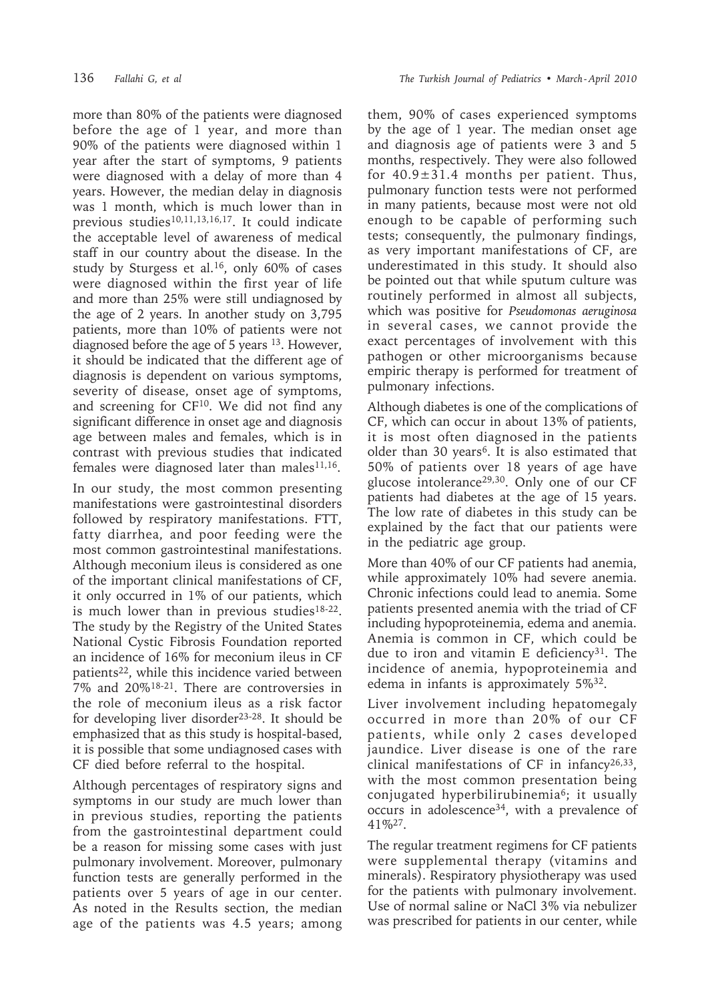more than 80% of the patients were diagnosed before the age of 1 year, and more than 90% of the patients were diagnosed within 1 year after the start of symptoms, 9 patients were diagnosed with a delay of more than 4 years. However, the median delay in diagnosis was 1 month, which is much lower than in previous studies<sup>10,11,13,16,17</sup>. It could indicate the acceptable level of awareness of medical staff in our country about the disease. In the study by Sturgess et al.16, only 60% of cases were diagnosed within the first year of life and more than 25% were still undiagnosed by the age of 2 years. In another study on 3,795 patients, more than 10% of patients were not diagnosed before the age of 5 years 13. However, it should be indicated that the different age of diagnosis is dependent on various symptoms, severity of disease, onset age of symptoms, and screening for  $CF^{10}$ . We did not find any significant difference in onset age and diagnosis age between males and females, which is in contrast with previous studies that indicated females were diagnosed later than males<sup>11,16</sup>.

In our study, the most common presenting manifestations were gastrointestinal disorders followed by respiratory manifestations. FTT, fatty diarrhea, and poor feeding were the most common gastrointestinal manifestations. Although meconium ileus is considered as one of the important clinical manifestations of CF, it only occurred in 1% of our patients, which is much lower than in previous studies<sup>18-22</sup>. The study by the Registry of the United States National Cystic Fibrosis Foundation reported an incidence of 16% for meconium ileus in CF patients22, while this incidence varied between 7% and 20%18-21. There are controversies in the role of meconium ileus as a risk factor for developing liver disorder<sup>23-28</sup>. It should be emphasized that as this study is hospital-based, it is possible that some undiagnosed cases with CF died before referral to the hospital.

Although percentages of respiratory signs and symptoms in our study are much lower than in previous studies, reporting the patients from the gastrointestinal department could be a reason for missing some cases with just pulmonary involvement. Moreover, pulmonary function tests are generally performed in the patients over 5 years of age in our center. As noted in the Results section, the median age of the patients was 4.5 years; among

them, 90% of cases experienced symptoms by the age of 1 year. The median onset age and diagnosis age of patients were 3 and 5 months, respectively. They were also followed for  $40.9 \pm 31.4$  months per patient. Thus, pulmonary function tests were not performed in many patients, because most were not old enough to be capable of performing such tests; consequently, the pulmonary findings, as very important manifestations of CF, are underestimated in this study. It should also be pointed out that while sputum culture was routinely performed in almost all subjects, which was positive for *Pseudomonas aeruginosa* in several cases, we cannot provide the exact percentages of involvement with this pathogen or other microorganisms because empiric therapy is performed for treatment of pulmonary infections.

Although diabetes is one of the complications of CF, which can occur in about 13% of patients, it is most often diagnosed in the patients older than 30 years<sup>6</sup>. It is also estimated that 50% of patients over 18 years of age have glucose intolerance29,30. Only one of our CF patients had diabetes at the age of 15 years. The low rate of diabetes in this study can be explained by the fact that our patients were in the pediatric age group.

More than 40% of our CF patients had anemia, while approximately 10% had severe anemia. Chronic infections could lead to anemia. Some patients presented anemia with the triad of CF including hypoproteinemia, edema and anemia. Anemia is common in CF, which could be due to iron and vitamin E deficiency<sup>31</sup>. The incidence of anemia, hypoproteinemia and edema in infants is approximately 5%32.

Liver involvement including hepatomegaly occurred in more than 20% of our CF patients, while only 2 cases developed jaundice. Liver disease is one of the rare clinical manifestations of CF in infancy26,33, with the most common presentation being conjugated hyperbilirubinemia<sup>6</sup>; it usually occurs in adolescence34, with a prevalence of 41%27.

The regular treatment regimens for CF patients were supplemental therapy (vitamins and minerals). Respiratory physiotherapy was used for the patients with pulmonary involvement. Use of normal saline or NaCl 3% via nebulizer was prescribed for patients in our center, while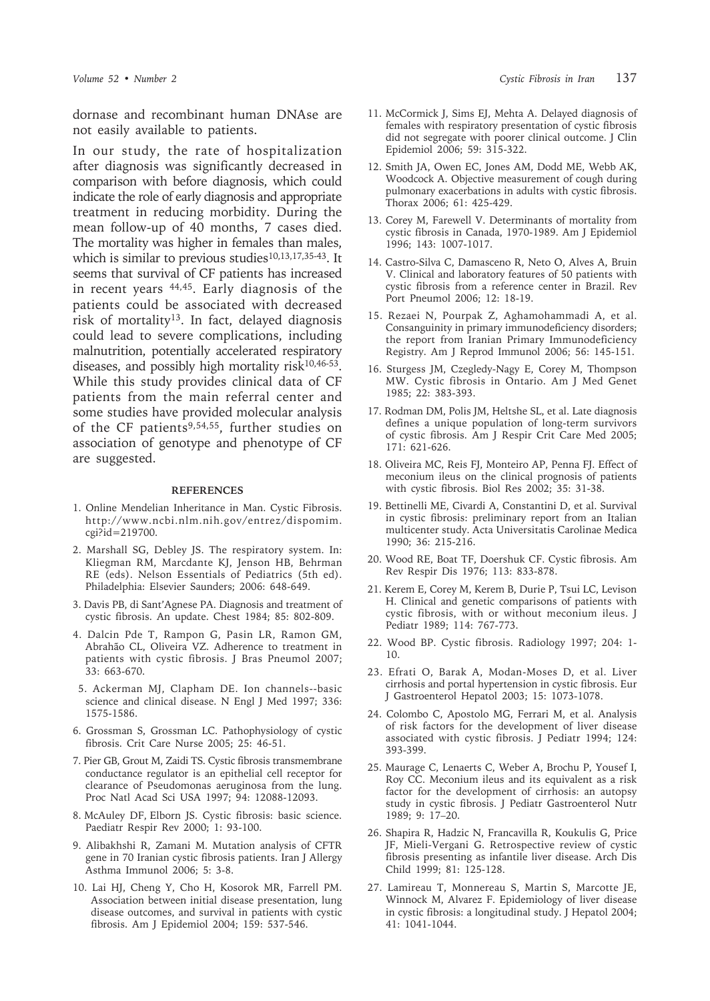dornase and recombinant human DNAse are not easily available to patients.

In our study, the rate of hospitalization after diagnosis was significantly decreased in comparison with before diagnosis, which could indicate the role of early diagnosis and appropriate treatment in reducing morbidity. During the mean follow-up of 40 months, 7 cases died. The mortality was higher in females than males, which is similar to previous studies<sup>10,13,17,35-43</sup>. It seems that survival of CF patients has increased in recent years 44,45. Early diagnosis of the patients could be associated with decreased risk of mortality<sup>13</sup>. In fact, delayed diagnosis could lead to severe complications, including malnutrition, potentially accelerated respiratory diseases, and possibly high mortality risk $10,46-53$ . While this study provides clinical data of CF patients from the main referral center and some studies have provided molecular analysis of the CF patients<sup>9,54,55</sup>, further studies on association of genotype and phenotype of CF are suggested.

#### **REFERENCES**

- 1. Online Mendelian Inheritance in Man. Cystic Fibrosis. http://www.ncbi.nlm.nih.gov/entrez/dispomim. cgi?id=219700.
- 2. Marshall SG, Debley JS. The respiratory system. In: Kliegman RM, Marcdante KJ, Jenson HB, Behrman RE (eds). Nelson Essentials of Pediatrics (5th ed). Philadelphia: Elsevier Saunders; 2006: 648-649.
- 3. Davis PB, di Sant'Agnese PA. Diagnosis and treatment of cystic fibrosis. An update. Chest 1984; 85: 802-809.
- 4. Dalcin Pde T, Rampon G, Pasin LR, Ramon GM, Abrahão CL, Oliveira VZ. Adherence to treatment in patients with cystic fibrosis. J Bras Pneumol 2007; 33: 663-670.
- 5. Ackerman MJ, Clapham DE. Ion channels--basic science and clinical disease. N Engl J Med 1997; 336: 1575-1586.
- 6. Grossman S, Grossman LC. Pathophysiology of cystic fibrosis. Crit Care Nurse 2005; 25: 46-51.
- 7. Pier GB, Grout M, Zaidi TS. Cystic fibrosis transmembrane conductance regulator is an epithelial cell receptor for clearance of Pseudomonas aeruginosa from the lung. Proc Natl Acad Sci USA 1997; 94: 12088-12093.
- 8. McAuley DF, Elborn JS. Cystic fibrosis: basic science. Paediatr Respir Rev 2000; 1: 93-100.
- 9. Alibakhshi R, Zamani M. Mutation analysis of CFTR gene in 70 Iranian cystic fibrosis patients. Iran J Allergy Asthma Immunol 2006; 5: 3-8.
- 10. Lai HJ, Cheng Y, Cho H, Kosorok MR, Farrell PM. Association between initial disease presentation, lung disease outcomes, and survival in patients with cystic fibrosis. Am J Epidemiol 2004; 159: 537-546.
- 11. McCormick J, Sims EJ, Mehta A. Delayed diagnosis of females with respiratory presentation of cystic fibrosis did not segregate with poorer clinical outcome. J Clin Epidemiol 2006; 59: 315-322.
- 12. Smith JA, Owen EC, Jones AM, Dodd ME, Webb AK, Woodcock A. Objective measurement of cough during pulmonary exacerbations in adults with cystic fibrosis. Thorax 2006; 61: 425-429.
- 13. Corey M, Farewell V. Determinants of mortality from cystic fibrosis in Canada, 1970-1989. Am J Epidemiol 1996; 143: 1007-1017.
- 14. Castro-Silva C, Damasceno R, Neto O, Alves A, Bruin V. Clinical and laboratory features of 50 patients with cystic fibrosis from a reference center in Brazil. Rev Port Pneumol 2006; 12: 18-19.
- 15. Rezaei N, Pourpak Z, Aghamohammadi A, et al. Consanguinity in primary immunodeficiency disorders; the report from Iranian Primary Immunodeficiency Registry. Am J Reprod Immunol 2006; 56: 145-151.
- 16. Sturgess JM, Czegledy-Nagy E, Corey M, Thompson MW. Cystic fibrosis in Ontario. Am J Med Genet 1985; 22: 383-393.
- 17. Rodman DM, Polis JM, Heltshe SL, et al. Late diagnosis defines a unique population of long-term survivors of cystic fibrosis. Am J Respir Crit Care Med 2005; 171: 621-626.
- 18. Oliveira MC, Reis FJ, Monteiro AP, Penna FJ. Effect of meconium ileus on the clinical prognosis of patients with cystic fibrosis. Biol Res 2002; 35: 31-38.
- 19. Bettinelli ME, Civardi A, Constantini D, et al. Survival in cystic fibrosis: preliminary report from an Italian multicenter study. Acta Universitatis Carolinae Medica 1990; 36: 215-216.
- 20. Wood RE, Boat TF, Doershuk CF. Cystic fibrosis. Am Rev Respir Dis 1976; 113: 833-878.
- 21. Kerem E, Corey M, Kerem B, Durie P, Tsui LC, Levison H. Clinical and genetic comparisons of patients with cystic fibrosis, with or without meconium ileus. J Pediatr 1989; 114: 767-773.
- 22. Wood BP. Cystic fibrosis. Radiology 1997; 204: 1- 10.
- 23. Efrati O, Barak A, Modan-Moses D, et al. Liver cirrhosis and portal hypertension in cystic fibrosis. Eur J Gastroenterol Hepatol 2003; 15: 1073-1078.
- 24. Colombo C, Apostolo MG, Ferrari M, et al. Analysis of risk factors for the development of liver disease associated with cystic fibrosis. J Pediatr 1994; 124: 393-399.
- 25. Maurage C, Lenaerts C, Weber A, Brochu P, Yousef I, Roy CC. Meconium ileus and its equivalent as a risk factor for the development of cirrhosis: an autopsy study in cystic fibrosis. J Pediatr Gastroenterol Nutr 1989; 9: 17–20.
- 26. Shapira R, Hadzic N, Francavilla R, Koukulis G, Price JF, Mieli-Vergani G. Retrospective review of cystic fibrosis presenting as infantile liver disease. Arch Dis Child 1999; 81: 125-128.
- 27. Lamireau T, Monnereau S, Martin S, Marcotte JE, Winnock M, Alvarez F. Epidemiology of liver disease in cystic fibrosis: a longitudinal study. J Hepatol 2004; 41: 1041-1044.